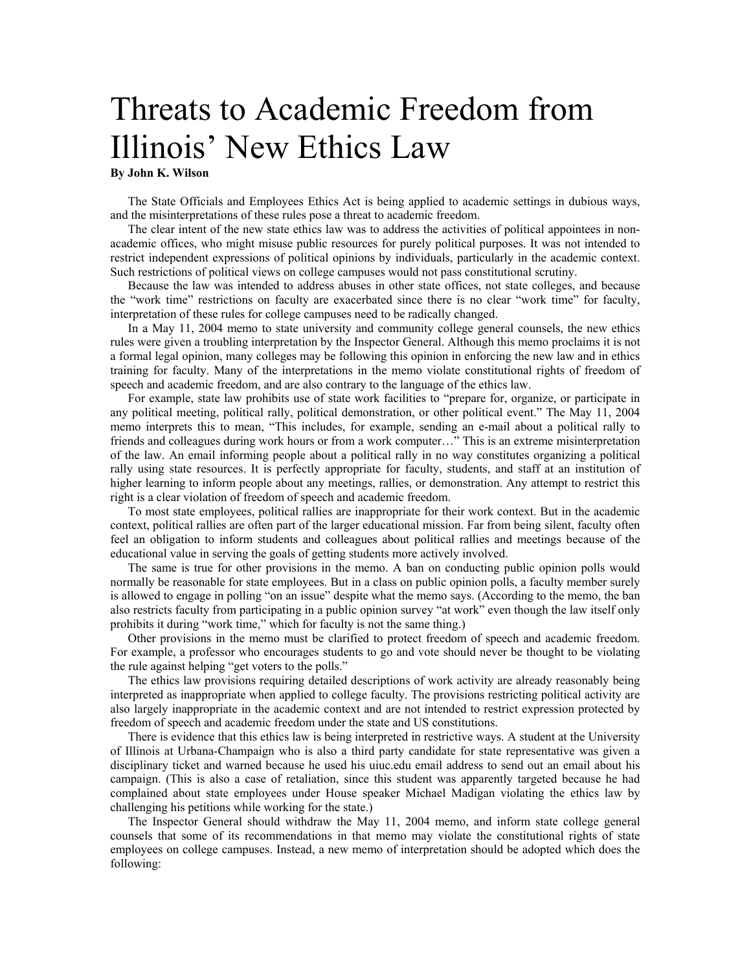## Threats to Academic Freedom from Illinois' New Ethics Law

## **By John K. Wilson**

The State Officials and Employees Ethics Act is being applied to academic settings in dubious ways, and the misinterpretations of these rules pose a threat to academic freedom.

The clear intent of the new state ethics law was to address the activities of political appointees in nonacademic offices, who might misuse public resources for purely political purposes. It was not intended to restrict independent expressions of political opinions by individuals, particularly in the academic context. Such restrictions of political views on college campuses would not pass constitutional scrutiny.

Because the law was intended to address abuses in other state offices, not state colleges, and because the "work time" restrictions on faculty are exacerbated since there is no clear "work time" for faculty, interpretation of these rules for college campuses need to be radically changed.

In a May 11, 2004 memo to state university and community college general counsels, the new ethics rules were given a troubling interpretation by the Inspector General. Although this memo proclaims it is not a formal legal opinion, many colleges may be following this opinion in enforcing the new law and in ethics training for faculty. Many of the interpretations in the memo violate constitutional rights of freedom of speech and academic freedom, and are also contrary to the language of the ethics law.

For example, state law prohibits use of state work facilities to "prepare for, organize, or participate in any political meeting, political rally, political demonstration, or other political event." The May 11, 2004 memo interprets this to mean, "This includes, for example, sending an e-mail about a political rally to friends and colleagues during work hours or from a work computer…" This is an extreme misinterpretation of the law. An email informing people about a political rally in no way constitutes organizing a political rally using state resources. It is perfectly appropriate for faculty, students, and staff at an institution of higher learning to inform people about any meetings, rallies, or demonstration. Any attempt to restrict this right is a clear violation of freedom of speech and academic freedom.

To most state employees, political rallies are inappropriate for their work context. But in the academic context, political rallies are often part of the larger educational mission. Far from being silent, faculty often feel an obligation to inform students and colleagues about political rallies and meetings because of the educational value in serving the goals of getting students more actively involved.

The same is true for other provisions in the memo. A ban on conducting public opinion polls would normally be reasonable for state employees. But in a class on public opinion polls, a faculty member surely is allowed to engage in polling "on an issue" despite what the memo says. (According to the memo, the ban also restricts faculty from participating in a public opinion survey "at work" even though the law itself only prohibits it during "work time," which for faculty is not the same thing.)

Other provisions in the memo must be clarified to protect freedom of speech and academic freedom. For example, a professor who encourages students to go and vote should never be thought to be violating the rule against helping "get voters to the polls."

The ethics law provisions requiring detailed descriptions of work activity are already reasonably being interpreted as inappropriate when applied to college faculty. The provisions restricting political activity are also largely inappropriate in the academic context and are not intended to restrict expression protected by freedom of speech and academic freedom under the state and US constitutions.

There is evidence that this ethics law is being interpreted in restrictive ways. A student at the University of Illinois at Urbana-Champaign who is also a third party candidate for state representative was given a disciplinary ticket and warned because he used his uiuc.edu email address to send out an email about his campaign. (This is also a case of retaliation, since this student was apparently targeted because he had complained about state employees under House speaker Michael Madigan violating the ethics law by challenging his petitions while working for the state.)

The Inspector General should withdraw the May 11, 2004 memo, and inform state college general counsels that some of its recommendations in that memo may violate the constitutional rights of state employees on college campuses. Instead, a new memo of interpretation should be adopted which does the following: